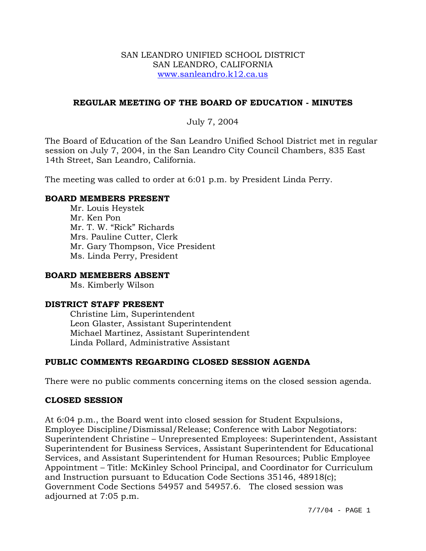#### SAN LEANDRO UNIFIED SCHOOL DISTRICT SAN LEANDRO, CALIFORNIA www.sanleandro.k12.ca.us

## **REGULAR MEETING OF THE BOARD OF EDUCATION - MINUTES**

## July 7, 2004

The Board of Education of the San Leandro Unified School District met in regular session on July 7, 2004, in the San Leandro City Council Chambers, 835 East 14th Street, San Leandro, California.

The meeting was called to order at 6:01 p.m. by President Linda Perry.

#### **BOARD MEMBERS PRESENT**

Mr. Louis Heystek Mr. Ken Pon Mr. T. W. "Rick" Richards Mrs. Pauline Cutter, Clerk Mr. Gary Thompson, Vice President Ms. Linda Perry, President

#### **BOARD MEMEBERS ABSENT**

Ms. Kimberly Wilson

#### **DISTRICT STAFF PRESENT**

Christine Lim, Superintendent Leon Glaster, Assistant Superintendent Michael Martinez, Assistant Superintendent Linda Pollard, Administrative Assistant

## **PUBLIC COMMENTS REGARDING CLOSED SESSION AGENDA**

There were no public comments concerning items on the closed session agenda.

## **CLOSED SESSION**

At 6:04 p.m., the Board went into closed session for Student Expulsions, Employee Discipline/Dismissal/Release; Conference with Labor Negotiators: Superintendent Christine – Unrepresented Employees: Superintendent, Assistant Superintendent for Business Services, Assistant Superintendent for Educational Services, and Assistant Superintendent for Human Resources; Public Employee Appointment – Title: McKinley School Principal, and Coordinator for Curriculum and Instruction pursuant to Education Code Sections 35146, 48918(c); Government Code Sections 54957 and 54957.6. The closed session was adjourned at 7:05 p.m.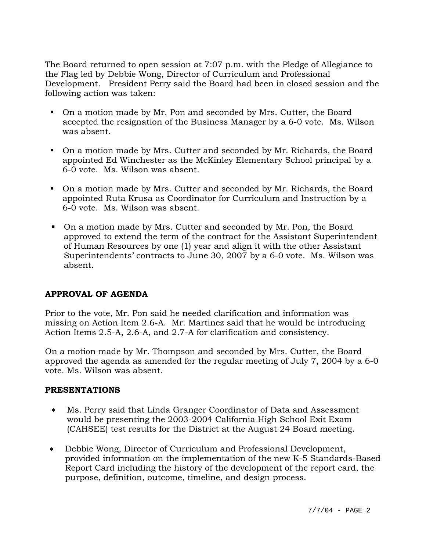The Board returned to open session at 7:07 p.m. with the Pledge of Allegiance to the Flag led by Debbie Wong, Director of Curriculum and Professional Development. President Perry said the Board had been in closed session and the following action was taken:

- On a motion made by Mr. Pon and seconded by Mrs. Cutter, the Board accepted the resignation of the Business Manager by a 6-0 vote. Ms. Wilson was absent.
- On a motion made by Mrs. Cutter and seconded by Mr. Richards, the Board appointed Ed Winchester as the McKinley Elementary School principal by a 6-0 vote. Ms. Wilson was absent.
- On a motion made by Mrs. Cutter and seconded by Mr. Richards, the Board appointed Ruta Krusa as Coordinator for Curriculum and Instruction by a 6-0 vote. Ms. Wilson was absent.
- On a motion made by Mrs. Cutter and seconded by Mr. Pon, the Board approved to extend the term of the contract for the Assistant Superintendent of Human Resources by one (1) year and align it with the other Assistant Superintendents' contracts to June 30, 2007 by a 6-0 vote. Ms. Wilson was absent.

# **APPROVAL OF AGENDA**

Prior to the vote, Mr. Pon said he needed clarification and information was missing on Action Item 2.6-A. Mr. Martinez said that he would be introducing Action Items 2.5-A, 2.6-A, and 2.7-A for clarification and consistency.

On a motion made by Mr. Thompson and seconded by Mrs. Cutter, the Board approved the agenda as amended for the regular meeting of July 7, 2004 by a 6-0 vote. Ms. Wilson was absent.

## **PRESENTATIONS**

- ∗ Ms. Perry said that Linda Granger Coordinator of Data and Assessment would be presenting the 2003-2004 California High School Exit Exam (CAHSEE) test results for the District at the August 24 Board meeting.
- ∗ Debbie Wong, Director of Curriculum and Professional Development, provided information on the implementation of the new K-5 Standards-Based Report Card including the history of the development of the report card, the purpose, definition, outcome, timeline, and design process.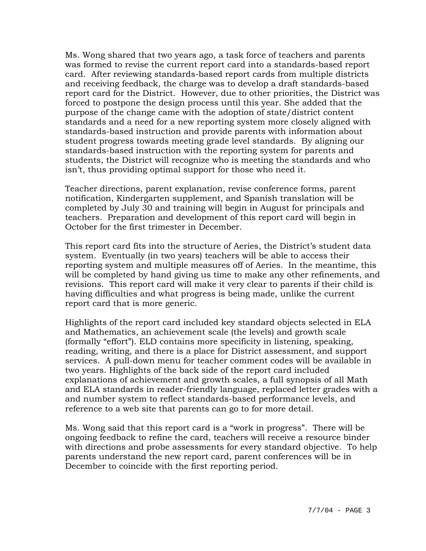Ms. Wong shared that two years ago, a task force of teachers and parents was formed to revise the current report card into a standards-based report card. After reviewing standards-based report cards from multiple districts and receiving feedback, the charge was to develop a draft standards-based report card for the District. However, due to other priorities, the District was forced to postpone the design process until this year. She added that the purpose of the change came with the adoption of state/district content standards and a need for a new reporting system more closely aligned with standards-based instruction and provide parents with information about student progress towards meeting grade level standards. By aligning our standards-based instruction with the reporting system for parents and students, the District will recognize who is meeting the standards and who isn't, thus providing optimal support for those who need it.

Teacher directions, parent explanation, revise conference forms, parent notification, Kindergarten supplement, and Spanish translation will be completed by July 30 and training will begin in August for principals and teachers. Preparation and development of this report card will begin in October for the first trimester in December.

This report card fits into the structure of Aeries, the District's student data system. Eventually (in two years) teachers will be able to access their reporting system and multiple measures off of Aeries. In the meantime, this will be completed by hand giving us time to make any other refinements, and revisions. This report card will make it very clear to parents if their child is having difficulties and what progress is being made, unlike the current report card that is more generic.

Highlights of the report card included key standard objects selected in ELA and Mathematics, an achievement scale (the levels) and growth scale (formally "effort"). ELD contains more specificity in listening, speaking, reading, writing, and there is a place for District assessment, and support services. A pull-down menu for teacher comment codes will be available in two years. Highlights of the back side of the report card included explanations of achievement and growth scales, a full synopsis of all Math and ELA standards in reader-friendly language, replaced letter grades with a and number system to reflect standards-based performance levels, and reference to a web site that parents can go to for more detail.

Ms. Wong said that this report card is a "work in progress". There will be ongoing feedback to refine the card, teachers will receive a resource binder with directions and probe assessments for every standard objective. To help parents understand the new report card, parent conferences will be in December to coincide with the first reporting period.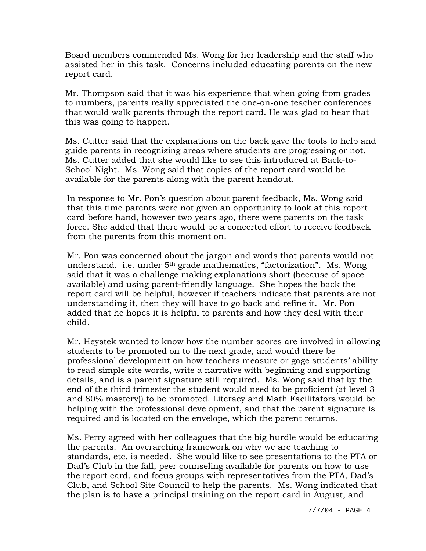Board members commended Ms. Wong for her leadership and the staff who assisted her in this task. Concerns included educating parents on the new report card.

Mr. Thompson said that it was his experience that when going from grades to numbers, parents really appreciated the one-on-one teacher conferences that would walk parents through the report card. He was glad to hear that this was going to happen.

Ms. Cutter said that the explanations on the back gave the tools to help and guide parents in recognizing areas where students are progressing or not. Ms. Cutter added that she would like to see this introduced at Back-to-School Night. Ms. Wong said that copies of the report card would be available for the parents along with the parent handout.

In response to Mr. Pon's question about parent feedback, Ms. Wong said that this time parents were not given an opportunity to look at this report card before hand, however two years ago, there were parents on the task force. She added that there would be a concerted effort to receive feedback from the parents from this moment on.

Mr. Pon was concerned about the jargon and words that parents would not understand. i.e. under 5<sup>th</sup> grade mathematics, "factorization". Ms. Wong said that it was a challenge making explanations short (because of space available) and using parent-friendly language. She hopes the back the report card will be helpful, however if teachers indicate that parents are not understanding it, then they will have to go back and refine it. Mr. Pon added that he hopes it is helpful to parents and how they deal with their child.

Mr. Heystek wanted to know how the number scores are involved in allowing students to be promoted on to the next grade, and would there be professional development on how teachers measure or gage students' ability to read simple site words, write a narrative with beginning and supporting details, and is a parent signature still required. Ms. Wong said that by the end of the third trimester the student would need to be proficient (at level 3 and 80% mastery)) to be promoted. Literacy and Math Facilitators would be helping with the professional development, and that the parent signature is required and is located on the envelope, which the parent returns.

Ms. Perry agreed with her colleagues that the big hurdle would be educating the parents. An overarching framework on why we are teaching to standards, etc. is needed. She would like to see presentations to the PTA or Dad's Club in the fall, peer counseling available for parents on how to use the report card, and focus groups with representatives from the PTA, Dad's Club, and School Site Council to help the parents. Ms. Wong indicated that the plan is to have a principal training on the report card in August, and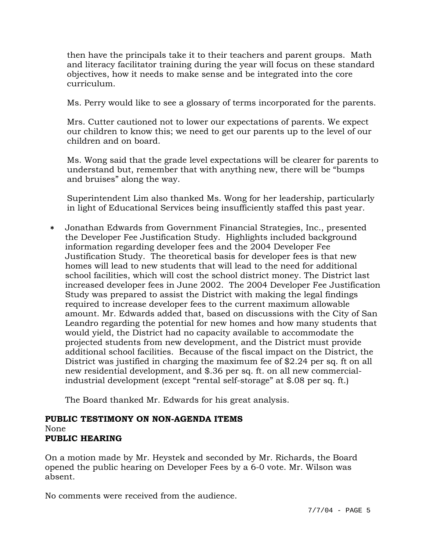then have the principals take it to their teachers and parent groups. Math and literacy facilitator training during the year will focus on these standard objectives, how it needs to make sense and be integrated into the core curriculum.

Ms. Perry would like to see a glossary of terms incorporated for the parents.

Mrs. Cutter cautioned not to lower our expectations of parents. We expect our children to know this; we need to get our parents up to the level of our children and on board.

Ms. Wong said that the grade level expectations will be clearer for parents to understand but, remember that with anything new, there will be "bumps and bruises" along the way.

Superintendent Lim also thanked Ms. Wong for her leadership, particularly in light of Educational Services being insufficiently staffed this past year.

∗ Jonathan Edwards from Government Financial Strategies, Inc., presented the Developer Fee Justification Study. Highlights included background information regarding developer fees and the 2004 Developer Fee Justification Study. The theoretical basis for developer fees is that new homes will lead to new students that will lead to the need for additional school facilities, which will cost the school district money. The District last increased developer fees in June 2002. The 2004 Developer Fee Justification Study was prepared to assist the District with making the legal findings required to increase developer fees to the current maximum allowable amount. Mr. Edwards added that, based on discussions with the City of San Leandro regarding the potential for new homes and how many students that would yield, the District had no capacity available to accommodate the projected students from new development, and the District must provide additional school facilities. Because of the fiscal impact on the District, the District was justified in charging the maximum fee of \$2.24 per sq. ft on all new residential development, and \$.36 per sq. ft. on all new commercialindustrial development (except "rental self-storage" at \$.08 per sq. ft.)

The Board thanked Mr. Edwards for his great analysis.

## **PUBLIC TESTIMONY ON NON-AGENDA ITEMS**  None **PUBLIC HEARING**

On a motion made by Mr. Heystek and seconded by Mr. Richards, the Board opened the public hearing on Developer Fees by a 6-0 vote. Mr. Wilson was absent.

No comments were received from the audience.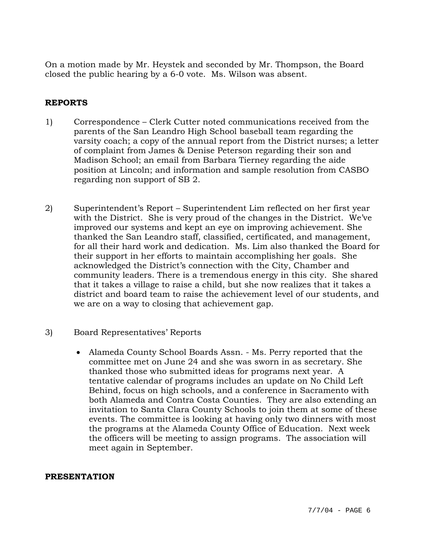On a motion made by Mr. Heystek and seconded by Mr. Thompson, the Board closed the public hearing by a 6-0 vote. Ms. Wilson was absent.

## **REPORTS**

- 1) Correspondence Clerk Cutter noted communications received from the parents of the San Leandro High School baseball team regarding the varsity coach; a copy of the annual report from the District nurses; a letter of complaint from James & Denise Peterson regarding their son and Madison School; an email from Barbara Tierney regarding the aide position at Lincoln; and information and sample resolution from CASBO regarding non support of SB 2.
- 2) Superintendent's Report Superintendent Lim reflected on her first year with the District. She is very proud of the changes in the District. We've improved our systems and kept an eye on improving achievement. She thanked the San Leandro staff, classified, certificated, and management, for all their hard work and dedication. Ms. Lim also thanked the Board for their support in her efforts to maintain accomplishing her goals. She acknowledged the District's connection with the City, Chamber and community leaders. There is a tremendous energy in this city. She shared that it takes a village to raise a child, but she now realizes that it takes a district and board team to raise the achievement level of our students, and we are on a way to closing that achievement gap.
- 3) Board Representatives' Reports
	- Alameda County School Boards Assn. Ms. Perry reported that the committee met on June 24 and she was sworn in as secretary. She thanked those who submitted ideas for programs next year. A tentative calendar of programs includes an update on No Child Left Behind, focus on high schools, and a conference in Sacramento with both Alameda and Contra Costa Counties. They are also extending an invitation to Santa Clara County Schools to join them at some of these events. The committee is looking at having only two dinners with most the programs at the Alameda County Office of Education. Next week the officers will be meeting to assign programs. The association will meet again in September.

#### **PRESENTATION**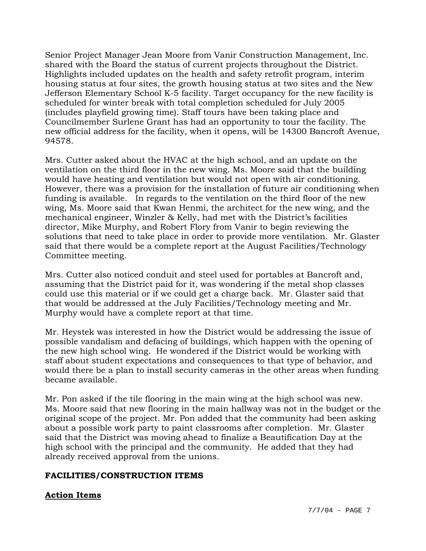Senior Project Manager Jean Moore from Vanir Construction Management, Inc. shared with the Board the status of current projects throughout the District. Highlights included updates on the health and safety retrofit program, interim housing status at four sites, the growth housing status at two sites and the New Jefferson Elementary School K-5 facility. Target occupancy for the new facility is scheduled for winter break with total completion scheduled for July 2005 (includes playfield growing time). Staff tours have been taking place and Councilmember Surlene Grant has had an opportunity to tour the facility. The new official address for the facility, when it opens, will be 14300 Bancroft Avenue, 94578.

Mrs. Cutter asked about the HVAC at the high school, and an update on the ventilation on the third floor in the new wing. Ms. Moore said that the building would have heating and ventilation but would not open with air conditioning. However, there was a provision for the installation of future air conditioning when funding is available. In regards to the ventilation on the third floor of the new wing, Ms. Moore said that Kwan Henmi, the architect for the new wing, and the mechanical engineer, Winzler & Kelly, had met with the District's facilities director, Mike Murphy, and Robert Flory from Vanir to begin reviewing the solutions that need to take place in order to provide more ventilation. Mr. Glaster said that there would be a complete report at the August Facilities/Technology Committee meeting.

Mrs. Cutter also noticed conduit and steel used for portables at Bancroft and, assuming that the District paid for it, was wondering if the metal shop classes could use this material or if we could get a charge back. Mr. Glaster said that that would be addressed at the July Facilities/Technology meeting and Mr. Murphy would have a complete report at that time.

Mr. Heystek was interested in how the District would be addressing the issue of possible vandalism and defacing of buildings, which happen with the opening of the new high school wing. He wondered if the District would be working with staff about student expectations and consequences to that type of behavior, and would there be a plan to install security cameras in the other areas when funding became available.

Mr. Pon asked if the tile flooring in the main wing at the high school was new. Ms. Moore said that new flooring in the main hallway was not in the budget or the original scope of the project. Mr. Pon added that the community had been asking about a possible work party to paint classrooms after completion. Mr. Glaster said that the District was moving ahead to finalize a Beautification Day at the high school with the principal and the community. He added that they had already received approval from the unions.

## **FACILITIES/CONSTRUCTION ITEMS**

# **Action Items**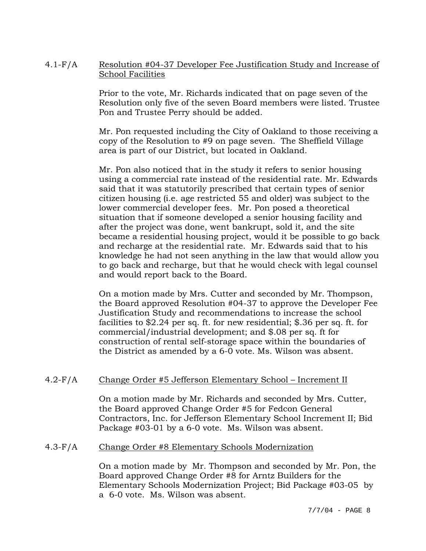## 4.1-F/A Resolution #04-37 Developer Fee Justification Study and Increase of School Facilities

Prior to the vote, Mr. Richards indicated that on page seven of the Resolution only five of the seven Board members were listed. Trustee Pon and Trustee Perry should be added.

Mr. Pon requested including the City of Oakland to those receiving a copy of the Resolution to #9 on page seven. The Sheffield Village area is part of our District, but located in Oakland.

Mr. Pon also noticed that in the study it refers to senior housing using a commercial rate instead of the residential rate. Mr. Edwards said that it was statutorily prescribed that certain types of senior citizen housing (i.e. age restricted 55 and older) was subject to the lower commercial developer fees. Mr. Pon posed a theoretical situation that if someone developed a senior housing facility and after the project was done, went bankrupt, sold it, and the site became a residential housing project, would it be possible to go back and recharge at the residential rate. Mr. Edwards said that to his knowledge he had not seen anything in the law that would allow you to go back and recharge, but that he would check with legal counsel and would report back to the Board.

On a motion made by Mrs. Cutter and seconded by Mr. Thompson, the Board approved Resolution #04-37 to approve the Developer Fee Justification Study and recommendations to increase the school facilities to \$2.24 per sq. ft. for new residential; \$.36 per sq. ft. for commercial/industrial development; and \$.08 per sq. ft for construction of rental self-storage space within the boundaries of the District as amended by a 6-0 vote. Ms. Wilson was absent.

## 4.2-F/A Change Order #5 Jefferson Elementary School – Increment II

On a motion made by Mr. Richards and seconded by Mrs. Cutter, the Board approved Change Order #5 for Fedcon General Contractors, Inc. for Jefferson Elementary School Increment II; Bid Package #03-01 by a 6-0 vote. Ms. Wilson was absent.

#### 4.3-F/A Change Order #8 Elementary Schools Modernization

On a motion made by Mr. Thompson and seconded by Mr. Pon, the Board approved Change Order #8 for Arntz Builders for the Elementary Schools Modernization Project; Bid Package #03-05 by a 6-0 vote. Ms. Wilson was absent.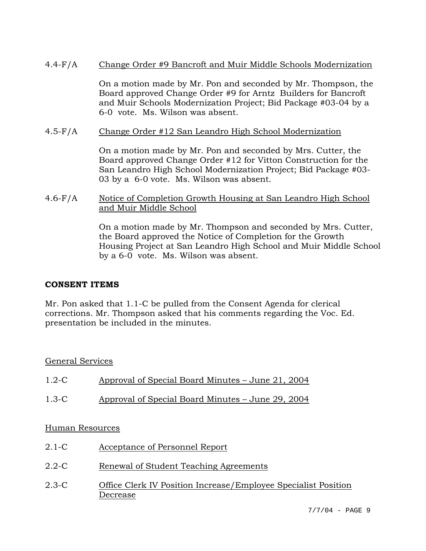## 4.4-F/A Change Order #9 Bancroft and Muir Middle Schools Modernization

On a motion made by Mr. Pon and seconded by Mr. Thompson, the Board approved Change Order #9 for Arntz Builders for Bancroft and Muir Schools Modernization Project; Bid Package #03-04 by a 6-0 vote. Ms. Wilson was absent.

### 4.5-F/A Change Order #12 San Leandro High School Modernization

On a motion made by Mr. Pon and seconded by Mrs. Cutter, the Board approved Change Order #12 for Vitton Construction for the San Leandro High School Modernization Project; Bid Package #03- 03 by a 6-0 vote. Ms. Wilson was absent.

### 4.6-F/A Notice of Completion Growth Housing at San Leandro High School and Muir Middle School

On a motion made by Mr. Thompson and seconded by Mrs. Cutter, the Board approved the Notice of Completion for the Growth Housing Project at San Leandro High School and Muir Middle School by a 6-0 vote. Ms. Wilson was absent.

## **CONSENT ITEMS**

Mr. Pon asked that 1.1-C be pulled from the Consent Agenda for clerical corrections. Mr. Thompson asked that his comments regarding the Voc. Ed. presentation be included in the minutes.

## General Services

| $1.2 - C$       | Approval of Special Board Minutes – June 21, 2004 |
|-----------------|---------------------------------------------------|
| $1.3-C$         | Approval of Special Board Minutes – June 29, 2004 |
| Human Resources |                                                   |

- 2.1-C Acceptance of Personnel Report
- 2.2-C Renewal of Student Teaching Agreements
- 2.3-C Office Clerk IV Position Increase/Employee Specialist Position Decrease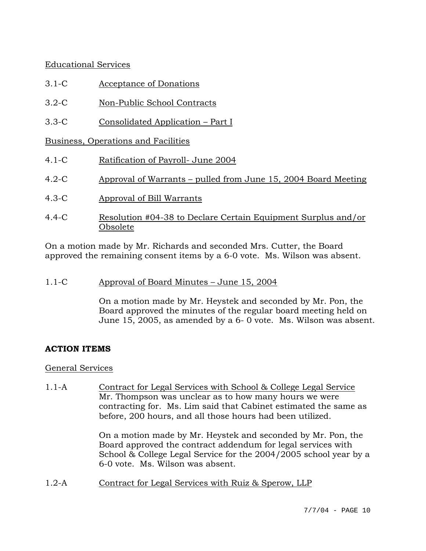## Educational Services

- 3.1-C Acceptance of Donations
- 3.2-C Non-Public School Contracts
- 3.3-C Consolidated Application Part I

Business, Operations and Facilities

- 4.1-C Ratification of Payroll- June 2004
- 4.2-C Approval of Warrants pulled from June 15, 2004 Board Meeting
- 4.3-C Approval of Bill Warrants
- 4.4-C Resolution #04-38 to Declare Certain Equipment Surplus and/or Obsolete

On a motion made by Mr. Richards and seconded Mrs. Cutter, the Board approved the remaining consent items by a 6-0 vote. Ms. Wilson was absent.

1.1-C Approval of Board Minutes – June 15, 2004

On a motion made by Mr. Heystek and seconded by Mr. Pon, the Board approved the minutes of the regular board meeting held on June 15, 2005, as amended by a 6- 0 vote. Ms. Wilson was absent.

# **ACTION ITEMS**

## General Services

1.1-A Contract for Legal Services with School & College Legal Service Mr. Thompson was unclear as to how many hours we were contracting for. Ms. Lim said that Cabinet estimated the same as before, 200 hours, and all those hours had been utilized.

> On a motion made by Mr. Heystek and seconded by Mr. Pon, the Board approved the contract addendum for legal services with School & College Legal Service for the 2004/2005 school year by a 6-0 vote. Ms. Wilson was absent.

1.2-A Contract for Legal Services with Ruiz & Sperow, LLP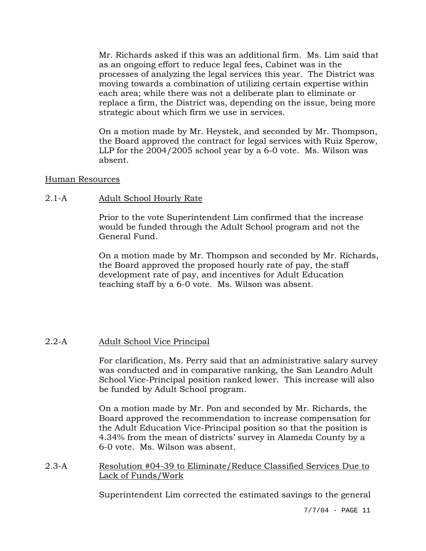Mr. Richards asked if this was an additional firm. Ms. Lim said that as an ongoing effort to reduce legal fees, Cabinet was in the processes of analyzing the legal services this year. The District was moving towards a combination of utilizing certain expertise within each area; while there was not a deliberate plan to eliminate or replace a firm, the District was, depending on the issue, being more strategic about which firm we use in services.

On a motion made by Mr. Heystek, and seconded by Mr. Thompson, the Board approved the contract for legal services with Ruiz Sperow, LLP for the 2004/2005 school year by a 6-0 vote. Ms. Wilson was absent.

#### Human Resources

## 2.1-A Adult School Hourly Rate

Prior to the vote Superintendent Lim confirmed that the increase would be funded through the Adult School program and not the General Fund.

On a motion made by Mr. Thompson and seconded by Mr. Richards, the Board approved the proposed hourly rate of pay, the staff development rate of pay, and incentives for Adult Education teaching staff by a 6-0 vote. Ms. Wilson was absent.

## 2.2-A Adult School Vice Principal

For clarification, Ms. Perry said that an administrative salary survey was conducted and in comparative ranking, the San Leandro Adult School Vice-Principal position ranked lower. This increase will also be funded by Adult School program.

On a motion made by Mr. Pon and seconded by Mr. Richards, the Board approved the recommendation to increase compensation for the Adult Education Vice-Principal position so that the position is 4.34% from the mean of districts' survey in Alameda County by a 6-0 vote. Ms. Wilson was absent.

2.3-A Resolution #04-39 to Eliminate/Reduce Classified Services Due to Lack of Funds/Work

Superintendent Lim corrected the estimated savings to the general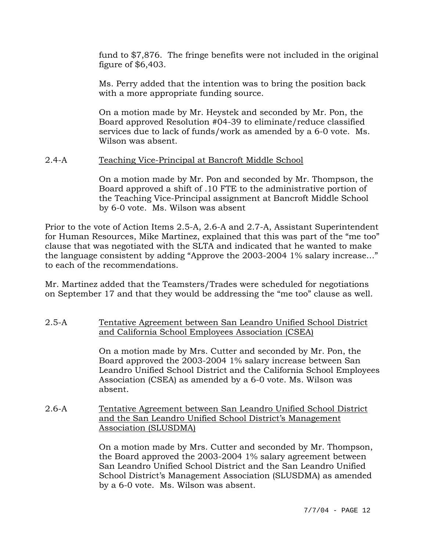fund to \$7,876. The fringe benefits were not included in the original figure of \$6,403.

Ms. Perry added that the intention was to bring the position back with a more appropriate funding source.

On a motion made by Mr. Heystek and seconded by Mr. Pon, the Board approved Resolution #04-39 to eliminate/reduce classified services due to lack of funds/work as amended by a 6-0 vote. Ms. Wilson was absent.

#### 2.4-A Teaching Vice-Principal at Bancroft Middle School

On a motion made by Mr. Pon and seconded by Mr. Thompson, the Board approved a shift of .10 FTE to the administrative portion of the Teaching Vice-Principal assignment at Bancroft Middle School by 6-0 vote. Ms. Wilson was absent

Prior to the vote of Action Items 2.5-A, 2.6-A and 2.7-A, Assistant Superintendent for Human Resources, Mike Martinez, explained that this was part of the "me too" clause that was negotiated with the SLTA and indicated that he wanted to make the language consistent by adding "Approve the 2003-2004 1% salary increase…" to each of the recommendations.

Mr. Martinez added that the Teamsters/Trades were scheduled for negotiations on September 17 and that they would be addressing the "me too" clause as well.

#### 2.5-A Tentative Agreement between San Leandro Unified School District and California School Employees Association (CSEA)

On a motion made by Mrs. Cutter and seconded by Mr. Pon, the Board approved the 2003-2004 1% salary increase between San Leandro Unified School District and the California School Employees Association (CSEA) as amended by a 6-0 vote. Ms. Wilson was absent.

2.6-A Tentative Agreement between San Leandro Unified School District and the San Leandro Unified School District's Management Association (SLUSDMA)

> On a motion made by Mrs. Cutter and seconded by Mr. Thompson, the Board approved the 2003-2004 1% salary agreement between San Leandro Unified School District and the San Leandro Unified School District's Management Association (SLUSDMA) as amended by a 6-0 vote. Ms. Wilson was absent.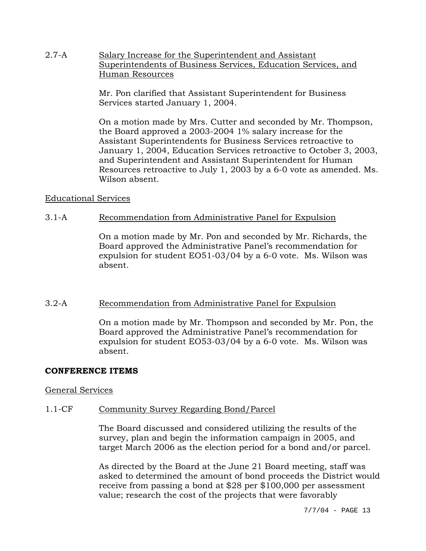2.7-A Salary Increase for the Superintendent and Assistant Superintendents of Business Services, Education Services, and Human Resources

> Mr. Pon clarified that Assistant Superintendent for Business Services started January 1, 2004.

On a motion made by Mrs. Cutter and seconded by Mr. Thompson, the Board approved a 2003-2004 1% salary increase for the Assistant Superintendents for Business Services retroactive to January 1, 2004, Education Services retroactive to October 3, 2003, and Superintendent and Assistant Superintendent for Human Resources retroactive to July 1, 2003 by a 6-0 vote as amended. Ms. Wilson absent.

#### Educational Services

#### 3.1-A Recommendation from Administrative Panel for Expulsion

On a motion made by Mr. Pon and seconded by Mr. Richards, the Board approved the Administrative Panel's recommendation for expulsion for student EO51-03/04 by a 6-0 vote. Ms. Wilson was absent.

#### 3.2-A Recommendation from Administrative Panel for Expulsion

On a motion made by Mr. Thompson and seconded by Mr. Pon, the Board approved the Administrative Panel's recommendation for expulsion for student EO53-03/04 by a 6-0 vote. Ms. Wilson was absent.

#### **CONFERENCE ITEMS**

#### General Services

#### 1.1-CF Community Survey Regarding Bond/Parcel

The Board discussed and considered utilizing the results of the survey, plan and begin the information campaign in 2005, and target March 2006 as the election period for a bond and/or parcel.

As directed by the Board at the June 21 Board meeting, staff was asked to determined the amount of bond proceeds the District would receive from passing a bond at \$28 per \$100,000 per assessment value; research the cost of the projects that were favorably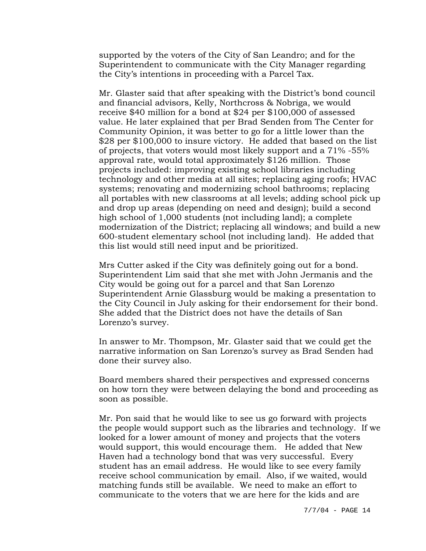supported by the voters of the City of San Leandro; and for the Superintendent to communicate with the City Manager regarding the City's intentions in proceeding with a Parcel Tax.

Mr. Glaster said that after speaking with the District's bond council and financial advisors, Kelly, Northcross & Nobriga, we would receive \$40 million for a bond at \$24 per \$100,000 of assessed value. He later explained that per Brad Senden from The Center for Community Opinion, it was better to go for a little lower than the \$28 per \$100,000 to insure victory. He added that based on the list of projects, that voters would most likely support and a 71% -55% approval rate, would total approximately \$126 million. Those projects included: improving existing school libraries including technology and other media at all sites; replacing aging roofs; HVAC systems; renovating and modernizing school bathrooms; replacing all portables with new classrooms at all levels; adding school pick up and drop up areas (depending on need and design); build a second high school of 1,000 students (not including land); a complete modernization of the District; replacing all windows; and build a new 600-student elementary school (not including land). He added that this list would still need input and be prioritized.

Mrs Cutter asked if the City was definitely going out for a bond. Superintendent Lim said that she met with John Jermanis and the City would be going out for a parcel and that San Lorenzo Superintendent Arnie Glassburg would be making a presentation to the City Council in July asking for their endorsement for their bond. She added that the District does not have the details of San Lorenzo's survey.

In answer to Mr. Thompson, Mr. Glaster said that we could get the narrative information on San Lorenzo's survey as Brad Senden had done their survey also.

Board members shared their perspectives and expressed concerns on how torn they were between delaying the bond and proceeding as soon as possible.

Mr. Pon said that he would like to see us go forward with projects the people would support such as the libraries and technology. If we looked for a lower amount of money and projects that the voters would support, this would encourage them. He added that New Haven had a technology bond that was very successful. Every student has an email address. He would like to see every family receive school communication by email. Also, if we waited, would matching funds still be available. We need to make an effort to communicate to the voters that we are here for the kids and are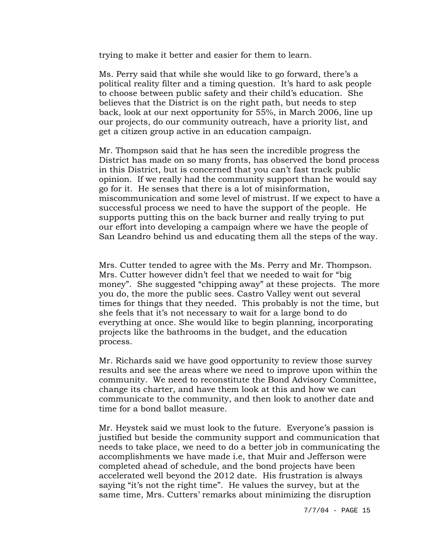trying to make it better and easier for them to learn.

Ms. Perry said that while she would like to go forward, there's a political reality filter and a timing question. It's hard to ask people to choose between public safety and their child's education. She believes that the District is on the right path, but needs to step back, look at our next opportunity for 55%, in March 2006, line up our projects, do our community outreach, have a priority list, and get a citizen group active in an education campaign.

Mr. Thompson said that he has seen the incredible progress the District has made on so many fronts, has observed the bond process in this District, but is concerned that you can't fast track public opinion. If we really had the community support than he would say go for it. He senses that there is a lot of misinformation, miscommunication and some level of mistrust. If we expect to have a successful process we need to have the support of the people. He supports putting this on the back burner and really trying to put our effort into developing a campaign where we have the people of San Leandro behind us and educating them all the steps of the way.

Mrs. Cutter tended to agree with the Ms. Perry and Mr. Thompson. Mrs. Cutter however didn't feel that we needed to wait for "big money". She suggested "chipping away" at these projects. The more you do, the more the public sees. Castro Valley went out several times for things that they needed. This probably is not the time, but she feels that it's not necessary to wait for a large bond to do everything at once. She would like to begin planning, incorporating projects like the bathrooms in the budget, and the education process.

Mr. Richards said we have good opportunity to review those survey results and see the areas where we need to improve upon within the community. We need to reconstitute the Bond Advisory Committee, change its charter, and have them look at this and how we can communicate to the community, and then look to another date and time for a bond ballot measure.

Mr. Heystek said we must look to the future. Everyone's passion is justified but beside the community support and communication that needs to take place, we need to do a better job in communicating the accomplishments we have made i.e, that Muir and Jefferson were completed ahead of schedule, and the bond projects have been accelerated well beyond the 2012 date. His frustration is always saying "it's not the right time". He values the survey, but at the same time, Mrs. Cutters' remarks about minimizing the disruption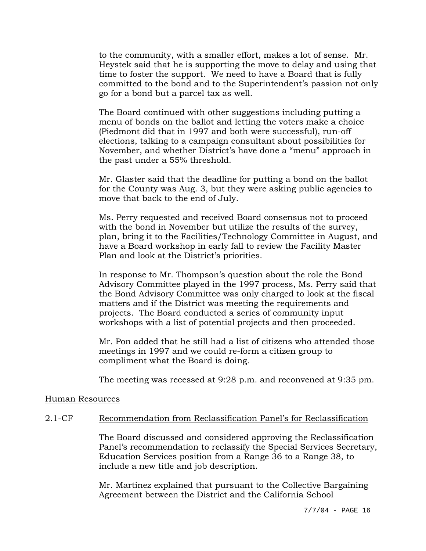to the community, with a smaller effort, makes a lot of sense. Mr. Heystek said that he is supporting the move to delay and using that time to foster the support. We need to have a Board that is fully committed to the bond and to the Superintendent's passion not only go for a bond but a parcel tax as well.

The Board continued with other suggestions including putting a menu of bonds on the ballot and letting the voters make a choice (Piedmont did that in 1997 and both were successful), run-off elections, talking to a campaign consultant about possibilities for November, and whether District's have done a "menu" approach in the past under a 55% threshold.

Mr. Glaster said that the deadline for putting a bond on the ballot for the County was Aug. 3, but they were asking public agencies to move that back to the end of July.

Ms. Perry requested and received Board consensus not to proceed with the bond in November but utilize the results of the survey, plan, bring it to the Facilities/Technology Committee in August, and have a Board workshop in early fall to review the Facility Master Plan and look at the District's priorities.

In response to Mr. Thompson's question about the role the Bond Advisory Committee played in the 1997 process, Ms. Perry said that the Bond Advisory Committee was only charged to look at the fiscal matters and if the District was meeting the requirements and projects. The Board conducted a series of community input workshops with a list of potential projects and then proceeded.

Mr. Pon added that he still had a list of citizens who attended those meetings in 1997 and we could re-form a citizen group to compliment what the Board is doing.

The meeting was recessed at 9:28 p.m. and reconvened at 9:35 pm.

#### Human Resources

#### 2.1-CF Recommendation from Reclassification Panel's for Reclassification

The Board discussed and considered approving the Reclassification Panel's recommendation to reclassify the Special Services Secretary, Education Services position from a Range 36 to a Range 38, to include a new title and job description.

Mr. Martinez explained that pursuant to the Collective Bargaining Agreement between the District and the California School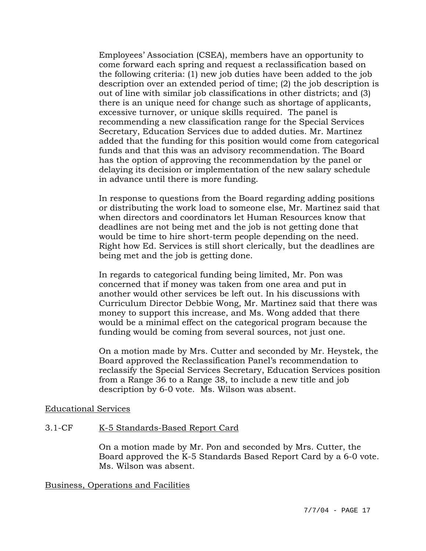Employees' Association (CSEA), members have an opportunity to come forward each spring and request a reclassification based on the following criteria: (1) new job duties have been added to the job description over an extended period of time; (2) the job description is out of line with similar job classifications in other districts; and (3) there is an unique need for change such as shortage of applicants, excessive turnover, or unique skills required. The panel is recommending a new classification range for the Special Services Secretary, Education Services due to added duties. Mr. Martinez added that the funding for this position would come from categorical funds and that this was an advisory recommendation. The Board has the option of approving the recommendation by the panel or delaying its decision or implementation of the new salary schedule in advance until there is more funding.

In response to questions from the Board regarding adding positions or distributing the work load to someone else, Mr. Martinez said that when directors and coordinators let Human Resources know that deadlines are not being met and the job is not getting done that would be time to hire short-term people depending on the need. Right how Ed. Services is still short clerically, but the deadlines are being met and the job is getting done.

In regards to categorical funding being limited, Mr. Pon was concerned that if money was taken from one area and put in another would other services be left out. In his discussions with Curriculum Director Debbie Wong, Mr. Martinez said that there was money to support this increase, and Ms. Wong added that there would be a minimal effect on the categorical program because the funding would be coming from several sources, not just one.

On a motion made by Mrs. Cutter and seconded by Mr. Heystek, the Board approved the Reclassification Panel's recommendation to reclassify the Special Services Secretary, Education Services position from a Range 36 to a Range 38, to include a new title and job description by 6-0 vote. Ms. Wilson was absent.

#### Educational Services

#### 3.1-CF K-5 Standards-Based Report Card

On a motion made by Mr. Pon and seconded by Mrs. Cutter, the Board approved the K-5 Standards Based Report Card by a 6-0 vote. Ms. Wilson was absent.

## Business, Operations and Facilities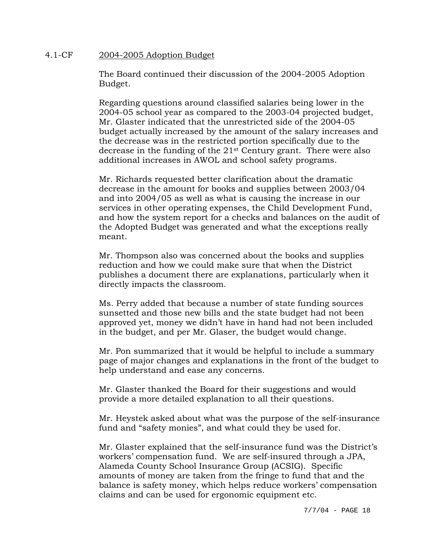#### 4.1-CF 2004-2005 Adoption Budget

The Board continued their discussion of the 2004-2005 Adoption Budget.

Regarding questions around classified salaries being lower in the 2004-05 school year as compared to the 2003-04 projected budget, Mr. Glaster indicated that the unrestricted side of the 2004-05 budget actually increased by the amount of the salary increases and the decrease was in the restricted portion specifically due to the decrease in the funding of the  $21<sup>st</sup>$  Century grant. There were also additional increases in AWOL and school safety programs.

Mr. Richards requested better clarification about the dramatic decrease in the amount for books and supplies between 2003/04 and into 2004/05 as well as what is causing the increase in our services in other operating expenses, the Child Development Fund, and how the system report for a checks and balances on the audit of the Adopted Budget was generated and what the exceptions really meant.

Mr. Thompson also was concerned about the books and supplies reduction and how we could make sure that when the District publishes a document there are explanations, particularly when it directly impacts the classroom.

Ms. Perry added that because a number of state funding sources sunsetted and those new bills and the state budget had not been approved yet, money we didn't have in hand had not been included in the budget, and per Mr. Glaser, the budget would change.

Mr. Pon summarized that it would be helpful to include a summary page of major changes and explanations in the front of the budget to help understand and ease any concerns.

Mr. Glaster thanked the Board for their suggestions and would provide a more detailed explanation to all their questions.

Mr. Heystek asked about what was the purpose of the self-insurance fund and "safety monies", and what could they be used for.

Mr. Glaster explained that the self-insurance fund was the District's workers' compensation fund. We are self-insured through a JPA, Alameda County School Insurance Group (ACSIG). Specific amounts of money are taken from the fringe to fund that and the balance is safety money, which helps reduce workers' compensation claims and can be used for ergonomic equipment etc.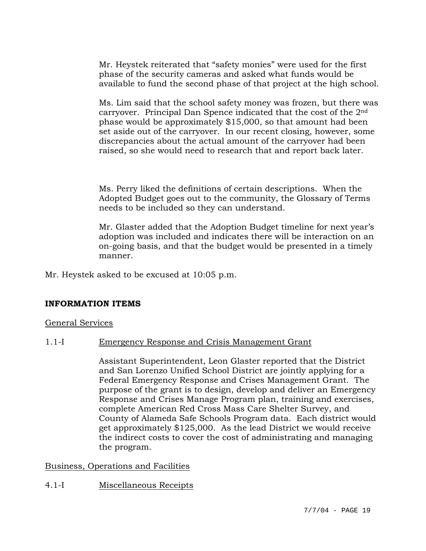Mr. Heystek reiterated that "safety monies" were used for the first phase of the security cameras and asked what funds would be available to fund the second phase of that project at the high school.

Ms. Lim said that the school safety money was frozen, but there was carryover. Principal Dan Spence indicated that the cost of the 2nd phase would be approximately \$15,000, so that amount had been set aside out of the carryover. In our recent closing, however, some discrepancies about the actual amount of the carryover had been raised, so she would need to research that and report back later.

Ms. Perry liked the definitions of certain descriptions. When the Adopted Budget goes out to the community, the Glossary of Terms needs to be included so they can understand.

Mr. Glaster added that the Adoption Budget timeline for next year's adoption was included and indicates there will be interaction on an on-going basis, and that the budget would be presented in a timely manner.

Mr. Heystek asked to be excused at 10:05 p.m.

#### **INFORMATION ITEMS**

#### General Services

#### 1.1-I Emergency Response and Crisis Management Grant

Assistant Superintendent, Leon Glaster reported that the District and San Lorenzo Unified School District are jointly applying for a Federal Emergency Response and Crises Management Grant. The purpose of the grant is to design, develop and deliver an Emergency Response and Crises Manage Program plan, training and exercises, complete American Red Cross Mass Care Shelter Survey, and County of Alameda Safe Schools Program data. Each district would get approximately \$125,000. As the lead District we would receive the indirect costs to cover the cost of administrating and managing the program.

#### Business, Operations and Facilities

#### 4.1-I Miscellaneous Receipts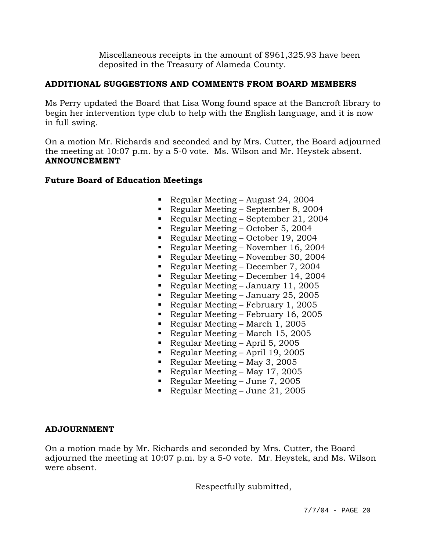Miscellaneous receipts in the amount of \$961,325.93 have been deposited in the Treasury of Alameda County.

## **ADDITIONAL SUGGESTIONS AND COMMENTS FROM BOARD MEMBERS**

Ms Perry updated the Board that Lisa Wong found space at the Bancroft library to begin her intervention type club to help with the English language, and it is now in full swing.

On a motion Mr. Richards and seconded and by Mrs. Cutter, the Board adjourned the meeting at 10:07 p.m. by a 5-0 vote. Ms. Wilson and Mr. Heystek absent. **ANNOUNCEMENT** 

# **Future Board of Education Meetings**

- Regular Meeting August 24, 2004
- Regular Meeting September 8, 2004
- Regular Meeting September 21, 2004
- Regular Meeting October 5, 2004
- Regular Meeting October 19, 2004
- Regular Meeting November 16, 2004
- Regular Meeting November 30, 2004
- Regular Meeting December 7, 2004
- Regular Meeting December 14, 2004
- Regular Meeting January 11, 2005
- Regular Meeting January 25, 2005
- Regular Meeting February 1, 2005
- Regular Meeting February 16, 2005
- Regular Meeting March 1, 2005
- Regular Meeting March 15, 2005
- Regular Meeting April 5, 2005
- Regular Meeting April 19, 2005
- Regular Meeting May 3, 2005
- Regular Meeting May 17, 2005
- Regular Meeting June 7, 2005
- Regular Meeting June 21, 2005

## **ADJOURNMENT**

On a motion made by Mr. Richards and seconded by Mrs. Cutter, the Board adjourned the meeting at 10:07 p.m. by a 5-0 vote. Mr. Heystek, and Ms. Wilson were absent.

Respectfully submitted,